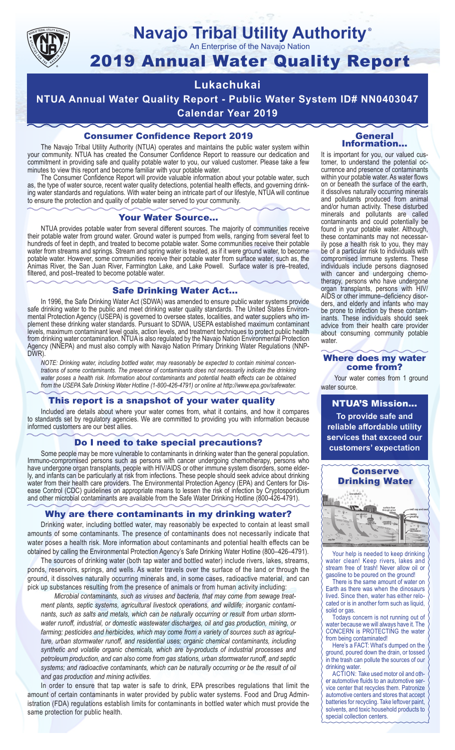

## **Navajo Tribal Utility Authority** ®

An Enterprise of the Navajo Nation

# 2019 Annual Water Quality Report

# **Lukachukai**

**NTUA Annual Water Quality Report - Public Water System ID# NN0403047 Calendar Year 2019**

## Consumer Confidence Report 2019

The Navajo Tribal Utility Authority (NTUA) operates and maintains the public water system within your community. NTUA has created the Consumer Confidence Report to reassure our dedication and commitment in providing safe and quality potable water to you, our valued customer. Please take a few minutes to view this report and become familiar with your potable water.

The Consumer Confidence Report will provide valuable information about your potable water, such as, the type of water source, recent water quality detections, potential health effects, and governing drinking water standards and regulations. With water being an intricate part of our lifestyle, NTUA will continue to ensure the protection and quality of potable water served to your community.

#### Your Water Source…

NTUA provides potable water from several different sources. The majority of communities receive their potable water from ground water. Ground water is pumped from wells, ranging from several feet to hundreds of feet in depth, and treated to become potable water. Some communities receive their potable water from streams and springs. Stream and spring water is treated, as if it were ground water, to become potable water. However, some communities receive their potable water from surface water, such as, the Animas River, the San Juan River, Farmington Lake, and Lake Powell. Surface water is pre–treated, filtered, and post–treated to become potable water.

#### Safe Drinking Water Act…

In 1996, the Safe Drinking Water Act (SDWA) was amended to ensure public water systems provide safe drinking water to the public and meet drinking water quality standards. The United States Environmental Protection Agency (USEPA) is governed to oversee states, localities, and water suppliers who implement these drinking water standards. Pursuant to SDWA, USEPA established maximum contaminant levels, maximum contaminant level goals, action levels, and treatment techniques to protect public health from drinking water contamination. NTUA is also regulated by the Navajo Nation Environmental Protection Agency (NNEPA) and must also comply with Navajo Nation Primary Drinking Water Regulations (NNP-DWR)

*NOTE: Drinking water, including bottled water, may reasonably be expected to contain minimal concentrations of some contaminants. The presence of contaminants does not necessarily indicate the drinking water poses a health risk. Information about contaminants and potential health effects can be obtained from the USEPA Safe Drinking Water Hotline (1-800-426-4791) or online at http://www.epa.gov/safewater.*

#### This report is a snapshot of your water quality

Included are details about where your water comes from, what it contains, and how it compares to standards set by regulatory agencies. We are committed to providing you with information because informed customers are our best allies.

#### Do I need to take special precautions?

Some people may be more vulnerable to contaminants in drinking water than the general population. Immuno-compromised persons such as persons with cancer undergoing chemotherapy, persons who have undergone organ transplants, people with HIV/AIDS or other immune system disorders, some elderly, and infants can be particularly at risk from infections. These people should seek advice about drinking water from their health care providers. The Environmental Protection Agency (EPA) and Centers for Disease Control (CDC) guidelines on appropriate means to lessen the risk of infection by Cryptosporidium and other microbial contaminants are available from the Safe Water Drinking Hotline (800-426-4791).

#### Why are there contaminants in my drinking water?

Drinking water, including bottled water, may reasonably be expected to contain at least small amounts of some contaminants. The presence of contaminants does not necessarily indicate that water poses a health risk. More information about contaminants and potential health effects can be obtained by calling the Environmental Protection Agency's Safe Drinking Water Hotline (800–426–4791).

The sources of drinking water (both tap water and bottled water) include rivers, lakes, streams, ponds, reservoirs, springs, and wells. As water travels over the surface of the land or through the ground, it dissolves naturally occurring minerals and, in some cases, radioactive material, and can pick up substances resulting from the presence of animals or from human activity including:

*Microbial contaminants, such as viruses and bacteria, that may come from sewage treatment plants, septic systems, agricultural livestock operations, and wildlife; inorganic contaminants, such as salts and metals, which can be naturally occurring or result from urban stormwater runoff, industrial, or domestic wastewater discharges, oil and gas production, mining, or farming; pesticides and herbicides, which may come from a variety of sources such as agriculture, urban stormwater runoff, and residential uses; organic chemical contaminants, including synthetic and volatile organic chemicals, which are by-products of industrial processes and petroleum production, and can also come from gas stations, urban stormwater runoff, and septic systems; and radioactive contaminants, which can be naturally occurring or be the result of oil and gas production and mining activities.*

In order to ensure that tap water is safe to drink, EPA prescribes regulations that limit the amount of certain contaminants in water provided by public water systems. Food and Drug Administration (FDA) regulations establish limits for contaminants in bottled water which must provide the same protection for public health.

#### General Information…

It is important for you, our valued customer, to understand the potential occurrence and presence of contaminants within your potable water. As water flows on or beneath the surface of the earth, it dissolves naturally occurring minerals and pollutants produced from animal and/or human activity. These disturbed minerals and pollutants are called contaminants and could potentially be found in your potable water. Although, these contaminants may not necessarily pose a health risk to you, they may be of a particular risk to individuals with compromised immune systems. These individuals include persons diagnosed with cancer and undergoing chemo-<br>therapy, persons who have undergone organ transplants, persons with HIV/ AIDS or other immune–deficiency disor- ders, and elderly and infants who may be prone to infection by these contam- inants. These individuals should seek advice from their health care provider about consuming community potable water.

#### Where does my water come from?

Your water comes from 1 ground water source.

NTUA'S Mission... **To provide safe and reliable affordable utility services that exceed our customers' expectation**



Your help is needed to keep drinking water clean! Keep rivers, lakes and stream free of trash! Never allow oil or gasoline to be poured on the ground!

There is the same amount of water on Earth as there was when the dinosaurs lived. Since then, water has either relocated or is in another form such as liquid, solid or gas.

Todays concern is not running out of water because we will always have it. The CONCERN is PROTECTING the water from being contaminated!

Here's a FACT: What's dumped on the ground, poured down the drain, or tossed in the trash can pollute the sources of our drinking water.

ACTION: Take used motor oil and other automotive fluids to an automotive service center that recycles them. Patronize automotive centers and stores that accept batteries for recycling. Take leftover paint, solvents, and toxic household products to special collection centers.